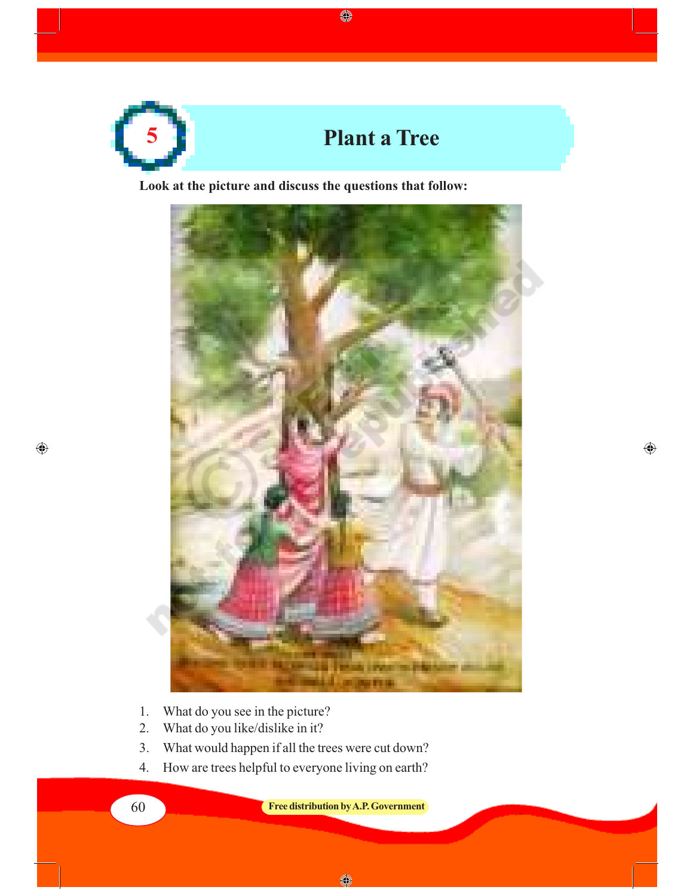

 $\qquad \qquad \textcircled{\scriptsize{1}}$ 

**Look at the picture and discuss the questions that follow:**



 $\bigoplus$ 

- 1. What do you see in the picture?
- 2. What do you like/dislike in it?
- 3. What would happen if all the trees were cut down?
- 4. How are trees helpful to everyone living on earth?

60 **Free distribution by A.P. Government**

 $\bigoplus$ 

 $\bullet$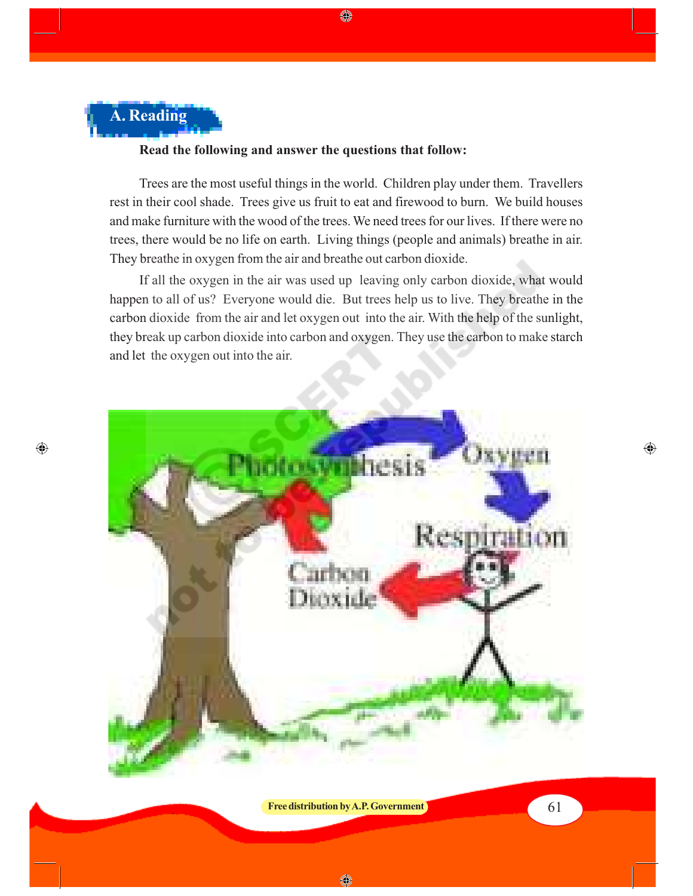

 $\bigoplus$ 

#### **Read the following and answer the questions that follow:**

Trees are the most useful things in the world. Children play under them. Travellers rest in their cool shade. Trees give us fruit to eat and firewood to burn. We build houses and make furniture with the wood of the trees. We need trees for our lives. If there were no trees, there would be no life on earth. Living things (people and animals) breathe in air. They breathe in oxygen from the air and breathe out carbon dioxide.

If all the oxygen in the air was used up leaving only carbon dioxide, what would happen to all of us? Everyone would die. But trees help us to live. They breathe in the carbon dioxide from the air and let oxygen out into the air. With the help of the sunlight, they break up carbon dioxide into carbon and oxygen. They use the carbon to make starch and let the oxygen out into the air.



**Free distribution by A.P. Government** 61

◈

◈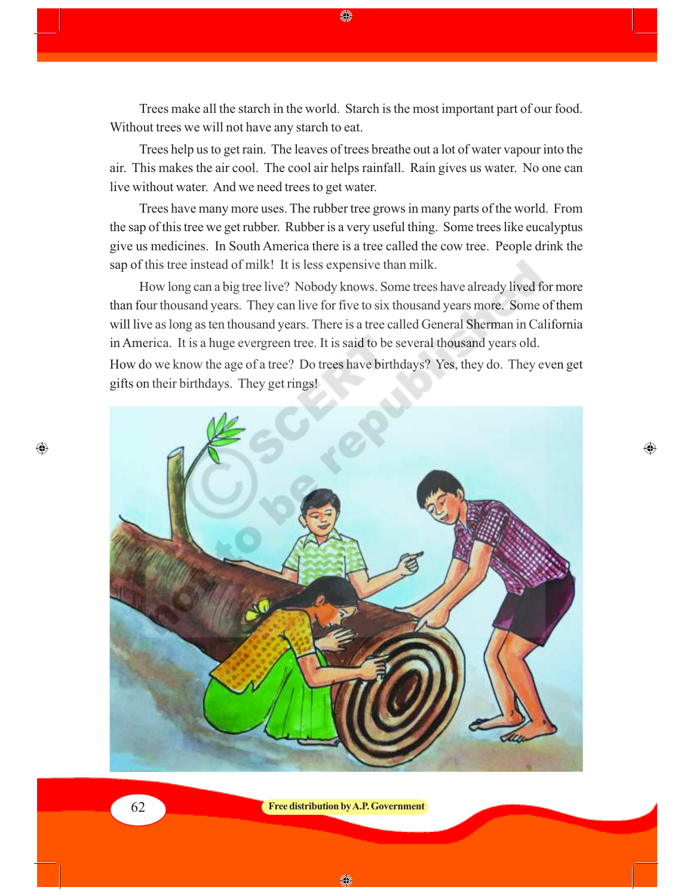Trees make all the starch in the world. Starch is the most important part of our food. Without trees we will not have any starch to eat.

◈

Trees help us to get rain. The leaves of trees breathe out a lot of water vapour into the air. This makes the air cool. The cool air helps rainfall. Rain gives us water. No one can live without water. And we need trees to get water.

Trees have many more uses. The rubber tree grows in many parts of the world. From the sap of this tree we get rubber. Rubber is a very useful thing. Some trees like eucalyptus give us medicines. In South America there is a tree called the cow tree. People drink the sap of this tree instead of milk! It is less expensive than milk.

How long can a big tree live? Nobody knows. Some trees have already lived for more than four thousand years. They can live for five to six thousand years more. Some of them will live as long as ten thousand years. There is a tree called General Sherman in California in America. It is a huge evergreen tree. It is said to be several thousand years old.

How do we know the age of a tree? Do trees have birthdays? Yes, they do. They even get gifts on their birthdays. They get rings!

⊕



62 **Free distribution by A.P. Government**

 $\bigcirc$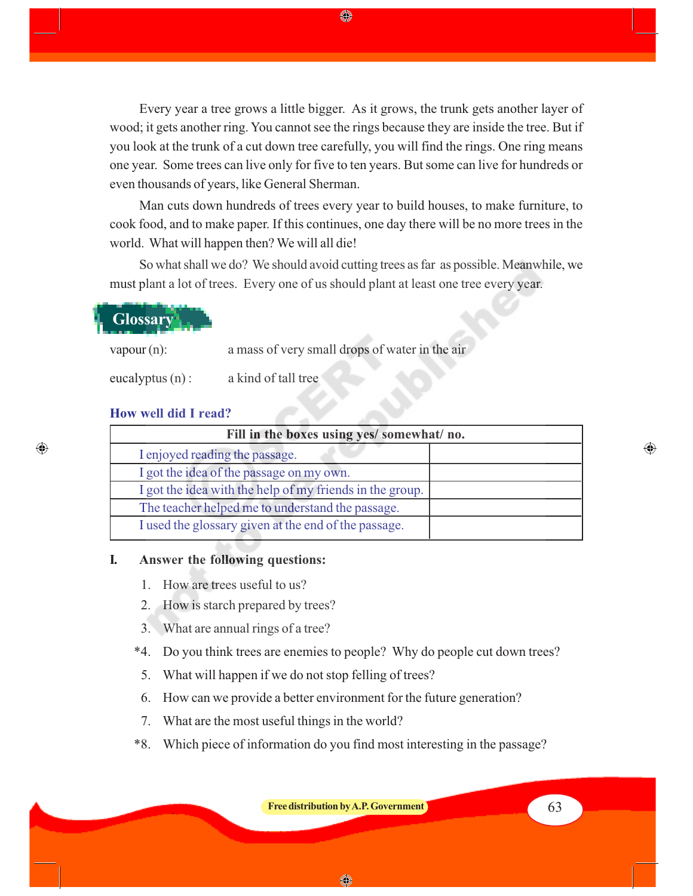Every year a tree grows a little bigger. As it grows, the trunk gets another layer of wood; it gets another ring. You cannot see the rings because they are inside the tree. But if you look at the trunk of a cut down tree carefully, you will find the rings. One ring means one year. Some trees can live only for five to ten years. But some can live for hundreds or even thousands of years, like General Sherman.

◈

Man cuts down hundreds of trees every year to build houses, to make furniture, to cook food, and to make paper. If this continues, one day there will be no more trees in the world. What will happen then? We will all die!

So what shall we do? We should avoid cutting trees as far as possible. Meanwhile, we must plant a lot of trees. Every one of us should plant at least one tree every year.

 **Glossary**

vapour (n): a mass of very small drops of water in the air

eucalyptus (n) : a kind of tall tree

#### **How well did I read?**

 $\bigcirc$ 

| Fill in the boxes using yes/ somewhat/ no.               |  |  |
|----------------------------------------------------------|--|--|
| I enjoyed reading the passage.                           |  |  |
| I got the idea of the passage on my own.                 |  |  |
| I got the idea with the help of my friends in the group. |  |  |
| The teacher helped me to understand the passage.         |  |  |
| I used the glossary given at the end of the passage.     |  |  |

#### **I. Answer the following questions:**

- 1. How are trees useful to us?
- 2. How is starch prepared by trees?
- 3. What are annual rings of a tree?
- \*4. Do you think trees are enemies to people? Why do people cut down trees?
- 5. What will happen if we do not stop felling of trees?
- 6. How can we provide a better environment for the future generation?
- 7. What are the most useful things in the world?
- \*8. Which piece of information do you find most interesting in the passage?

**Free distribution by A.P. Government** 63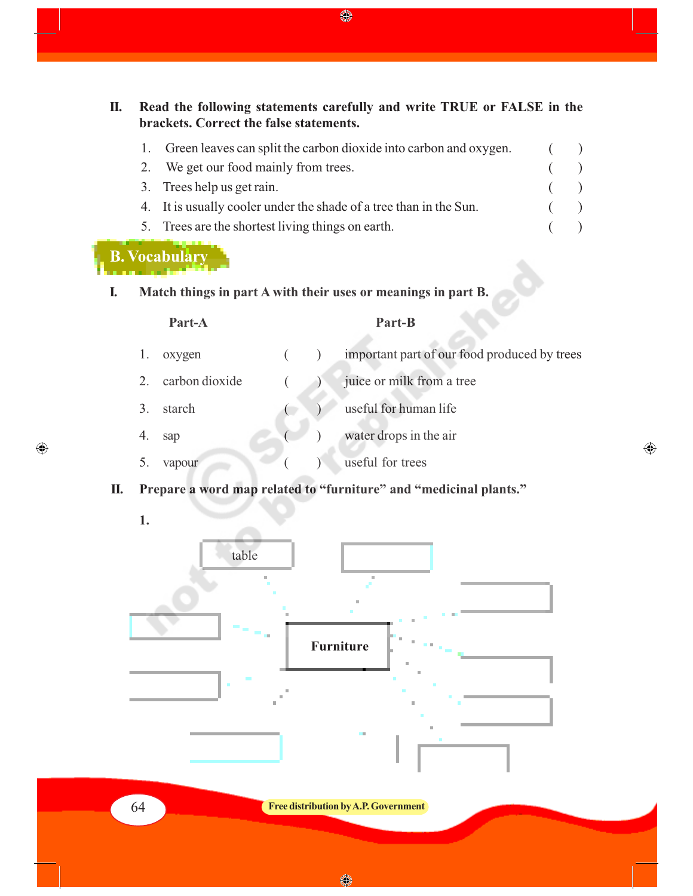**II. Read the following statements carefully and write TRUE or FALSE in the brackets. Correct the false statements.**

| Green leaves can split the carbon dioxide into carbon and oxygen.  |  |
|--------------------------------------------------------------------|--|
| 2. We get our food mainly from trees.                              |  |
| 3. Trees help us get rain.                                         |  |
| 4. It is usually cooler under the shade of a tree than in the Sun. |  |
| 5. Trees are the shortest living things on earth.                  |  |

# **B. Vocabulary**

### **I. Match things in part A with their uses or meanings in part B.**

#### **Part-A Part-B**

 $\bigoplus$ 

- 1. oxygen ( ) important part of our food produced by trees 2. carbon dioxide ( ) juice or milk from a tree 3. starch ( ) useful for human life
- 4. sap ( ) water drops in the air
- 5. vapour ( ) useful for trees
- **II. Prepare a word map related to "furniture" and "medicinal plants."**
	- **1.**

 $\bigoplus$ 



64 **Free distribution by A.P. Government**

◈

 $\bigoplus$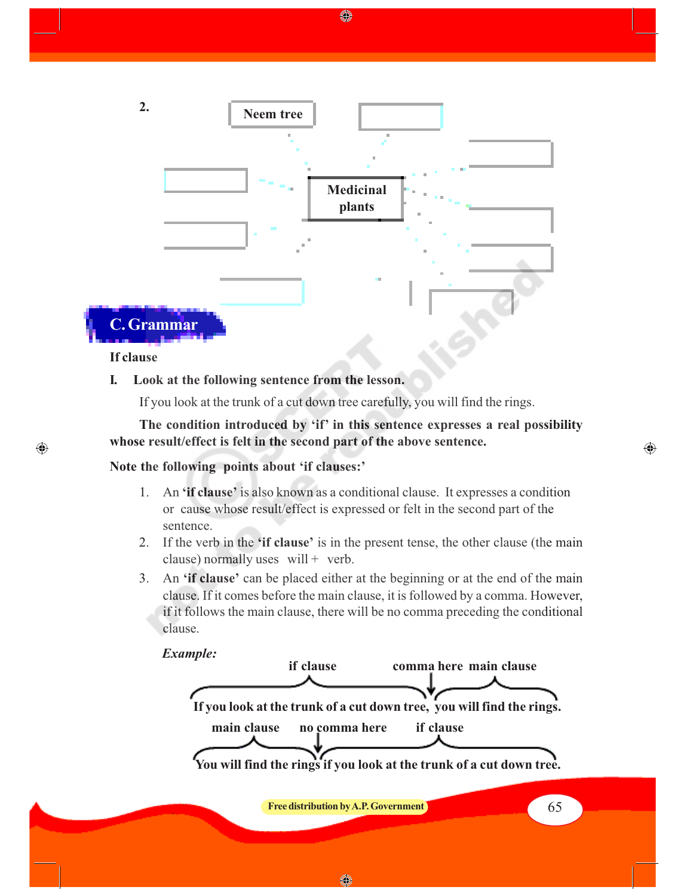

◈

#### **If clause**

⊕

#### **I. Look at the following sentence from the lesson.**

If you look at the trunk of a cut down tree carefully, you will find the rings.

**The condition introduced by 'if' in this sentence expresses a real possibility whose result/effect is felt in the second part of the above sentence.**

⊕

#### **Note the following points about 'if clauses:'**

- 1. An **'if clause'** is also known as a conditional clause. It expresses a condition or cause whose result/effect is expressed or felt in the second part of the sentence.
- 2. If the verb in the **'if clause'** is in the present tense, the other clause (the main clause) normally uses  $will + verb$ .
- 3. An **'if clause'** can be placed either at the beginning or at the end of the main clause. If it comes before the main clause, it is followed by a comma. However, if it follows the main clause, there will be no comma preceding the conditional clause.

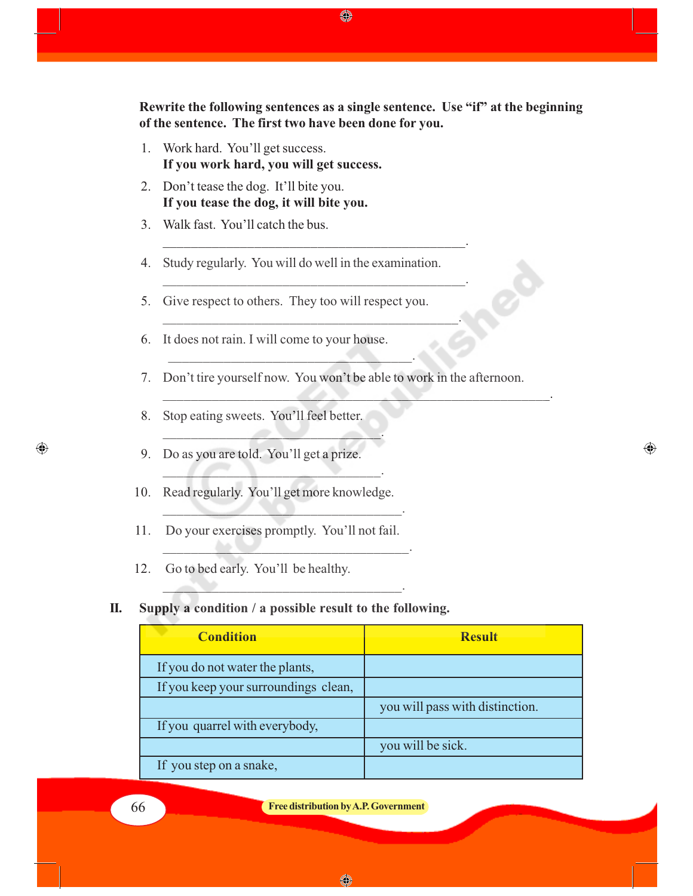**Rewrite the following sentences as a single sentence. Use "if" at the beginning of the sentence. The first two have been done for you.**

- 1. Work hard. You'll get success. **If you work hard, you will get success.**
- 2. Don't tease the dog. It'll bite you. **If you tease the dog, it will bite you.**
- 3. Walk fast. You'll catch the bus.
- 4. Study regularly. You will do well in the examination.

\_\_\_\_\_\_\_\_\_\_\_\_\_\_\_\_\_\_\_\_\_\_\_\_\_\_\_\_\_\_\_\_\_\_\_\_\_\_\_\_\_\_\_.

\_\_\_\_\_\_\_\_\_\_\_\_\_\_\_\_\_\_\_\_\_\_\_\_\_\_\_\_\_\_\_\_\_\_\_\_\_\_\_\_\_\_\_.

\_\_\_\_\_\_\_\_\_\_\_\_\_\_\_\_\_\_\_\_\_\_\_\_\_\_\_\_\_\_\_\_\_\_\_\_\_\_\_\_\_\_.

5. Give respect to others. They too will respect you.

 $\mathcal{L}=\mathcal{L}=\mathcal{L}=\mathcal{L}=\mathcal{L}=\mathcal{L}=\mathcal{L}=\mathcal{L}=\mathcal{L}=\mathcal{L}=\mathcal{L}=\mathcal{L}=\mathcal{L}=\mathcal{L}=\mathcal{L}=\mathcal{L}=\mathcal{L}=\mathcal{L}=\mathcal{L}=\mathcal{L}=\mathcal{L}=\mathcal{L}=\mathcal{L}=\mathcal{L}=\mathcal{L}=\mathcal{L}=\mathcal{L}=\mathcal{L}=\mathcal{L}=\mathcal{L}=\mathcal{L}=\mathcal{L}=\mathcal{L}=\mathcal{L}=\mathcal{L}=\mathcal{L}=\mathcal{$ 

- 6. It does not rain. I will come to your house.
- 7. Don't tire yourself now. You won't be able to work in the afternoon.

 $\mathcal{L}=\{x_1,\ldots,x_n\}$  , we can also the set of  $\mathcal{L}=\{x_1,\ldots,x_n\}$ 

⊕

- 8. Stop eating sweets. You'll feel better.
- 9. Do as you are told. You'll get a prize.
- 10. Read regularly. You'll get more knowledge.

 $\mathcal{L}$  , and the set of the set of the set of the set of the set of the set of the set of the set of the set of the set of the set of the set of the set of the set of the set of the set of the set of the set of the set

\_\_\_\_\_\_\_\_\_\_\_\_\_\_\_\_\_\_\_\_\_\_\_\_\_\_\_\_\_\_\_.

 $\sim$   $\sim$   $\sim$   $\sim$   $\sim$   $\sim$   $\sim$   $\sim$ 

 $\mathcal{L}=\mathcal{L}=\mathcal{L}=\mathcal{L}=\mathcal{L}=\mathcal{L}=\mathcal{L}=\mathcal{L}=\mathcal{L}=\mathcal{L}=\mathcal{L}=\mathcal{L}=\mathcal{L}=\mathcal{L}=\mathcal{L}=\mathcal{L}=\mathcal{L}=\mathcal{L}=\mathcal{L}=\mathcal{L}=\mathcal{L}=\mathcal{L}=\mathcal{L}=\mathcal{L}=\mathcal{L}=\mathcal{L}=\mathcal{L}=\mathcal{L}=\mathcal{L}=\mathcal{L}=\mathcal{L}=\mathcal{L}=\mathcal{L}=\mathcal{L}=\mathcal{L}=\mathcal{L}=\mathcal{$ 

- 11. Do your exercises promptly. You'll not fail.
- 12. Go to bed early. You'll be healthy.

#### **II. Supply a condition / a possible result to the following.**

\_\_\_\_\_\_\_\_\_\_\_\_\_\_\_\_\_\_\_\_\_\_\_\_\_\_\_\_\_\_\_\_\_\_.

| <b>Condition</b>                     | <b>Result</b>                   |
|--------------------------------------|---------------------------------|
| If you do not water the plants,      |                                 |
| If you keep your surroundings clean, |                                 |
|                                      | you will pass with distinction. |
| If you quarrel with everybody,       |                                 |
|                                      | you will be sick.               |
| If you step on a snake,              |                                 |

 $\bigoplus$ 

#### 66 **Free distribution by A.P. Government**

♦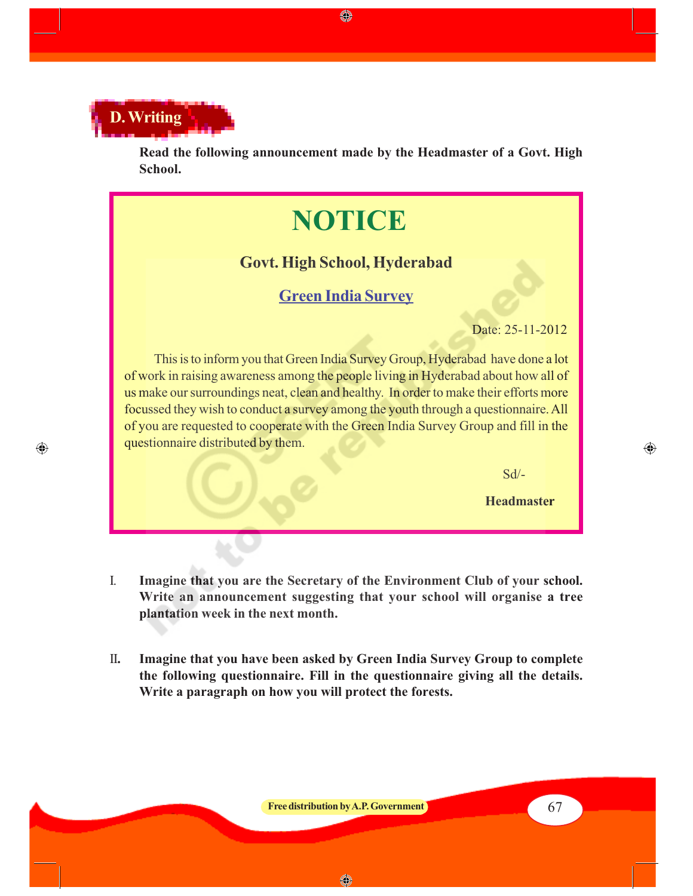

◈

**Read the following announcement made by the Headmaster of a Govt. High School.**

# **NOTICE**

## **Govt. High School, Hyderabad**

## **Green India Survey**

Date: 25-11-2012

This is to inform you that Green India Survey Group, Hyderabad have done a lot of work in raising awareness among the people living in Hyderabad about how all of us make our surroundings neat, clean and healthy. In order to make their efforts more focussed they wish to conduct a survey among the youth through a questionnaire. All of you are requested to cooperate with the Green India Survey Group and fill in the questionnaire distributed by them.

 $Sd$ <sup>-</sup>

**Headmaster**

⊕

- I. **Imagine that you are the Secretary of the Environment Club of your school. Write an announcement suggesting that your school will organise a tree plantation week in the next month.**
- II**. Imagine that you have been asked by Green India Survey Group to complete the following questionnaire. Fill in the questionnaire giving all the details. Write a paragraph on how you will protect the forests.**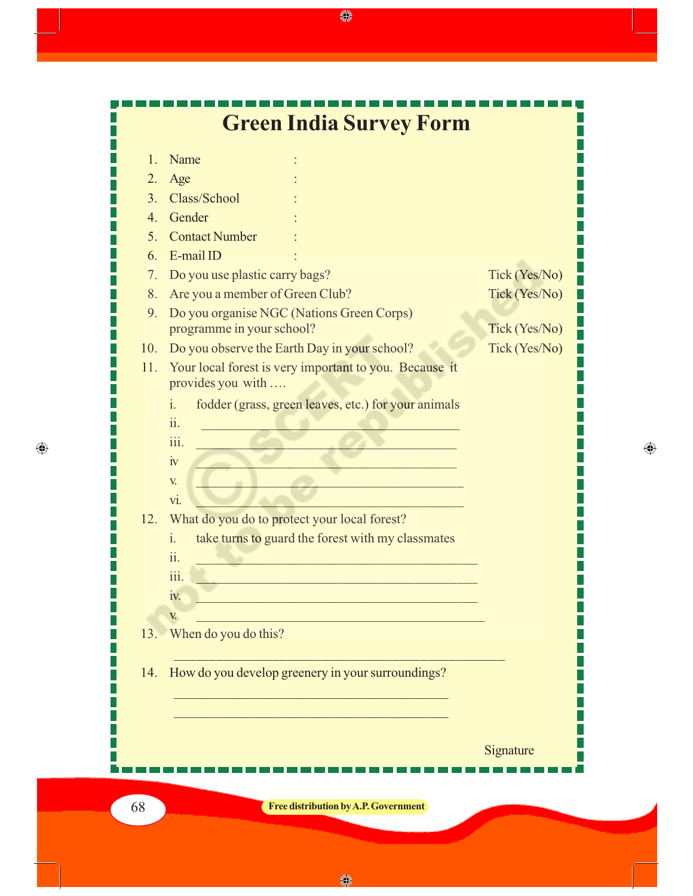

 $\bigoplus$ 

♦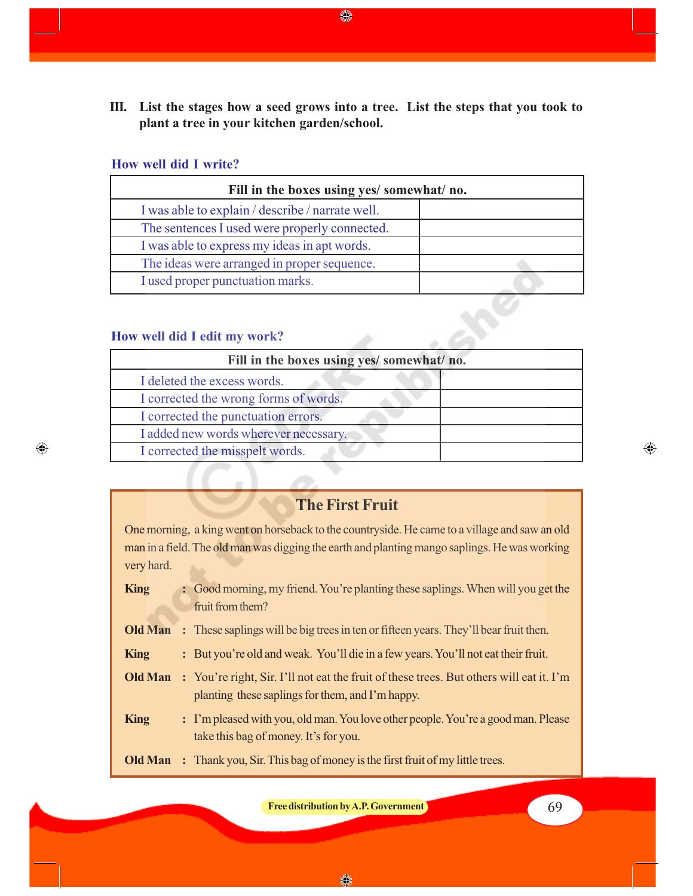**III. List the stages how a seed grows into a tree. List the steps that you took to plant a tree in your kitchen garden/school.**

◈

#### **How well did I write?**

| Fill in the boxes using yes/somewhat/no.         |  |  |  |  |
|--------------------------------------------------|--|--|--|--|
| I was able to explain / describe / narrate well. |  |  |  |  |
| The sentences I used were properly connected.    |  |  |  |  |
| I was able to express my ideas in apt words.     |  |  |  |  |
| The ideas were arranged in proper sequence.      |  |  |  |  |
| I used proper punctuation marks.                 |  |  |  |  |

#### **How well did I edit my work?**

 $\bigoplus$ 

| How well did I edit my work?               |  |
|--------------------------------------------|--|
| Fill in the boxes using yes/ somewhat/ no. |  |
| I deleted the excess words.                |  |
| I corrected the wrong forms of words.      |  |
| I corrected the punctuation errors.        |  |
| I added new words wherever necessary.      |  |
| I corrected the misspelt words.            |  |
|                                            |  |

## **The First Fruit**

One morning, a king went on horseback to the countryside. He came to a village and saw an old man in a field. The old man was digging the earth and planting mango saplings. He was working very hard.

- **King** : Good morning, my friend. You're planting these saplings. When will you get the fruit from them?
- **Old Man** : These saplings will be big trees in ten or fifteen years. They'll bear fruit then.
- **King** : But you're old and weak. You'll die in a few years. You'll not eat their fruit.
- **Old Man** : You're right, Sir. I'll not eat the fruit of these trees. But others will eat it. I'm planting these saplings for them, and I'm happy.
- **King** : I'm pleased with you, old man. You love other people. You're a good man. Please take this bag of money. It's for you.
- **Old Man :** Thank you, Sir. This bag of money is the first fruit of my little trees.

**Free distribution by A.P. Government** 69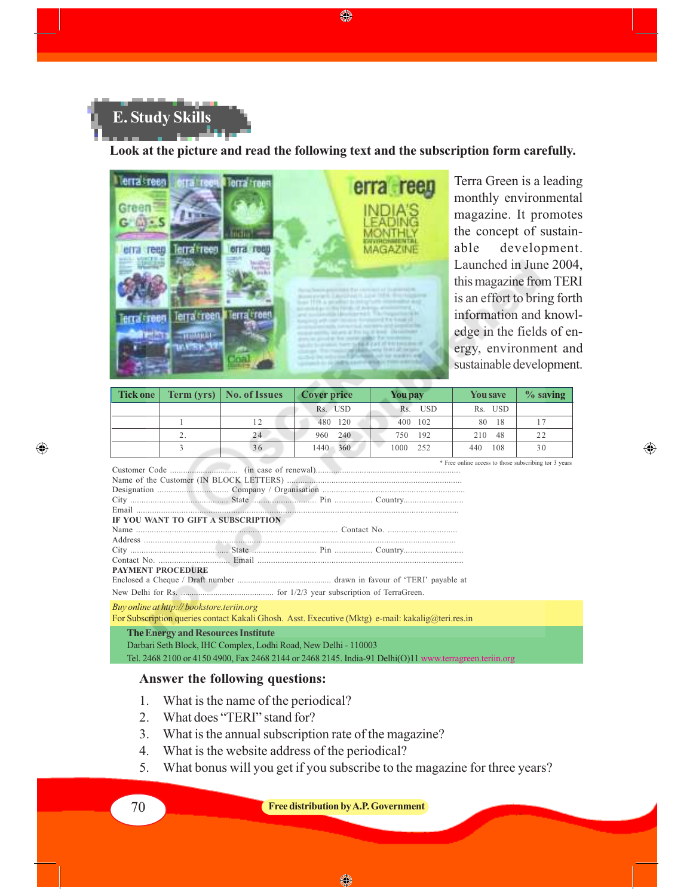

#### **Look at the picture and read the following text and the subscription form carefully.**



Terra Green is a leading monthly environmental magazine. It promotes the concept of sustainable development. Launched in June 2004, this magazine from TERI is an effort to bring forth information and knowledge in the fields of energy, environment and sustainable development.

⊕

| Tick one |          | Term (yrs)   No. of Issues | <b>Cover price</b> | <b>You pay</b>    | <b>You save</b>                                       | $\%$ saving |
|----------|----------|----------------------------|--------------------|-------------------|-------------------------------------------------------|-------------|
|          |          |                            | Rs. USD            | <b>USD</b><br>Rs. | Rs. USD                                               |             |
|          |          | 12                         | 480 120            | 400 102           | 80<br>-18                                             |             |
|          | <u>.</u> | 24                         | 960 240            | 750 192           | 210<br>48                                             | 22          |
|          |          | 36                         | 1440 360           | 1000 252          | 108<br>440                                            | 30          |
|          |          |                            |                    |                   | * Free online access to those subscribing tor 3 years |             |

Customer Code ............................... (in case of renewal).................................................................. Name of the Customer (IN BLOCK LETTERS) ............................................................................... Designation ................................ Company / Organisation ................................................................ City ............................................ State ............................. Pin ................. Country........................... Email ............................................................................................................................................... **IF YOU WANT TO GIFT A SUBSCRIPTION** Name .......................................................................................... Contact No. ............................... Address ........................................................................................................................................... City ............................................ State ............................. Pin ................. Country........................... Contact No. ................................ Email ............................................................................................ **PAYMENT PROCEDURE** Enclosed a Cheque / Draft number ............................................ drawn in favour of 'TERI' payable at New Delhi for Rs. ........................................... for 1/2/3 year subscription of TerraGreen.

*Buy online at http:// bookstore.teriin.org*

 $\bigoplus$ 

For Subscription queries contact Kakali Ghosh. Asst. Executive (Mktg) e-mail: kakalig@teri.res.in

#### **The Energy and Resources Institute**

Darbari Seth Block, IHC Complex, Lodhi Road, New Delhi - 110003 Tel. 2468 2100 or 4150 4900, Fax 2468 2144 or 2468 2145. India-91 Delhi(O)11

### **Answer the following questions:**

- 1. What is the name of the periodical?
- 2. What does "TERI" stand for?
- 3. What is the annual subscription rate of the magazine?
- 4. What is the website address of the periodical?
- 5. What bonus will you get if you subscribe to the magazine for three years?

70 **Free distribution by A.P. Government**

◈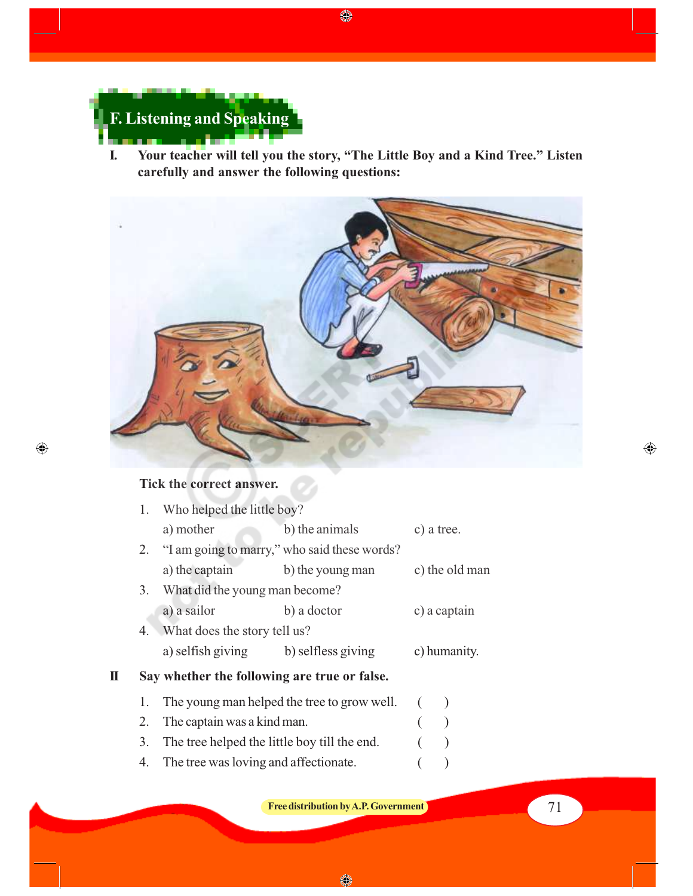

**I. Your teacher will tell you the story, "The Little Boy and a Kind Tree." Listen carefully and answer the following questions:**

 $\bigcirc$ 



## **Tick the correct answer.**

 $\bigoplus$ 

|   |    | 1. Who helped the little boy?                |                                                 |  |                |  |
|---|----|----------------------------------------------|-------------------------------------------------|--|----------------|--|
|   |    | a) mother                                    | b) the animals                                  |  | c) a tree.     |  |
|   |    |                                              | 2. "I am going to marry," who said these words? |  |                |  |
|   |    | a) the captain                               | b) the young man                                |  | c) the old man |  |
|   |    | 3. What did the young man become?            |                                                 |  |                |  |
|   |    | a) a sailor                                  | b) a doctor                                     |  | c) a captain   |  |
|   | 4. | What does the story tell us?                 |                                                 |  |                |  |
|   |    | a) selfish giving b) selfless giving         |                                                 |  | c) humanity.   |  |
| П |    | Say whether the following are true or false. |                                                 |  |                |  |
|   | 1. |                                              | The young man helped the tree to grow well.     |  |                |  |
|   | 2. | The captain was a kind man.                  |                                                 |  |                |  |
|   | 3. | The tree helped the little boy till the end. |                                                 |  |                |  |
|   |    |                                              |                                                 |  |                |  |

4. The tree was loving and affectionate. ( )

**Free distribution by A.P. Government Free distribution by A.P. Government** 

 $\bigoplus$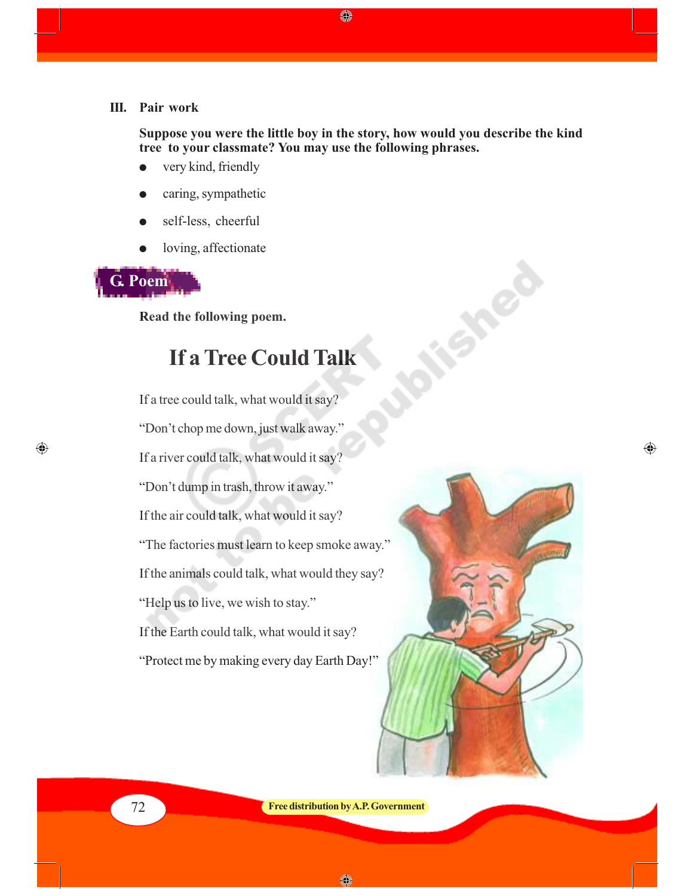#### **III. Pair work**

**Suppose you were the little boy in the story, how would you describe the kind tree to your classmate? You may use the following phrases.**

◈

- very kind, friendly
- caring, sympathetic
- self-less, cheerful
- loving, affectionate

# **G. Poem**

 $\bigoplus$ 

**Read the following poem.**

# **If a Tree Could Talk**

If a tree could talk, what would it say? "Don't chop me down, just walk away." If a river could talk, what would it say? "Don't dump in trash, throw it away." If the air could talk, what would it say? "The factories must learn to keep smoke away." If the animals could talk, what would they say? "Help us to live, we wish to stay." If the Earth could talk, what would it say? "Protect me by making every day Earth Day!"



Les

 $\bigoplus$ 

72 **Free distribution by A.P. Government**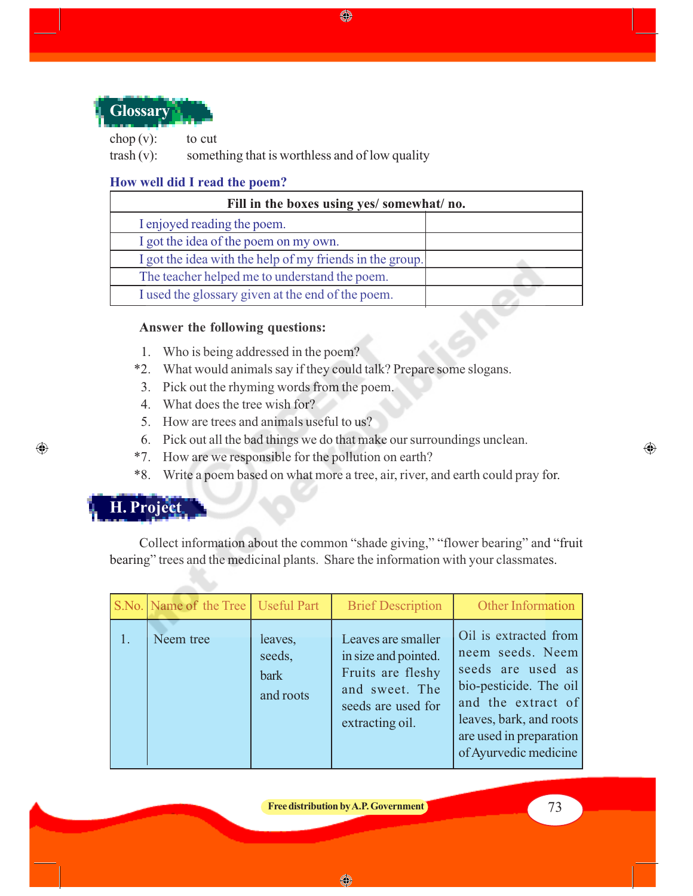

chop  $(v)$ : to cut trash (v): something that is worthless and of low quality

### **How well did I read the poem?**

| Fill in the boxes using yes/ somewhat/ no.               |  |  |  |
|----------------------------------------------------------|--|--|--|
| I enjoyed reading the poem.                              |  |  |  |
| I got the idea of the poem on my own.                    |  |  |  |
| I got the idea with the help of my friends in the group. |  |  |  |
| The teacher helped me to understand the poem.            |  |  |  |
| I used the glossary given at the end of the poem.        |  |  |  |

♦

#### **Answer the following questions:**

- 1. Who is being addressed in the poem?
- \*2. What would animals say if they could talk? Prepare some slogans.
- 3. Pick out the rhyming words from the poem.
- 4. What does the tree wish for?
- 5. How are trees and animals useful to us?
- 6. Pick out all the bad things we do that make our surroundings unclean.
- \*7. How are we responsible for the pollution on earth?
- \*8. Write a poem based on what more a tree, air, river, and earth could pray for.

# **H. Project**

 $\bigoplus$ 

Collect information about the common "shade giving," "flower bearing" and "fruit bearing" trees and the medicinal plants. Share the information with your classmates.

| S.No. Name of the Tree   Useful Part |                                               | <b>Brief Description</b>                                                                                                   | <b>Other Information</b>                                                                                                                                                                      |
|--------------------------------------|-----------------------------------------------|----------------------------------------------------------------------------------------------------------------------------|-----------------------------------------------------------------------------------------------------------------------------------------------------------------------------------------------|
| Neem tree                            | leaves,<br>seeds,<br><b>bark</b><br>and roots | Leaves are smaller<br>in size and pointed.<br>Fruits are fleshy<br>and sweet. The<br>seeds are used for<br>extracting oil. | Oil is extracted from<br>neem seeds. Neem<br>seeds are used as<br>bio-pesticide. The oil<br>and the extract of<br>leaves, bark, and roots<br>are used in preparation<br>of Ayurvedic medicine |

**Free distribution by A.P. Government Free distribution by A.P. Government**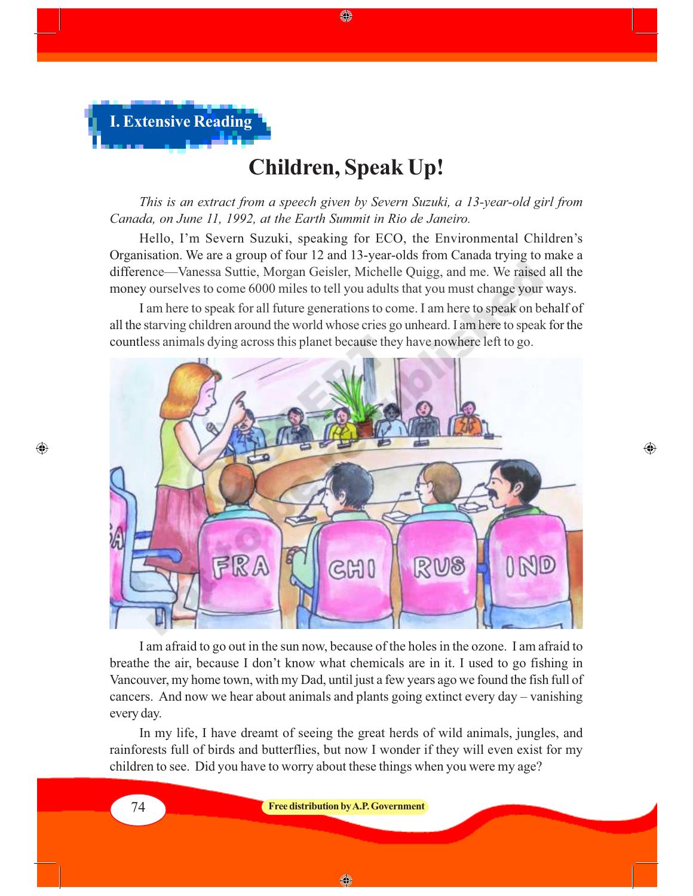

# **Children, Speak Up!**

◈

*This is an extract from a speech given by Severn Suzuki, a 13-year-old girl from Canada, on June 11, 1992, at the Earth Summit in Rio de Janeiro.*

Hello, I'm Severn Suzuki, speaking for ECO, the Environmental Children's Organisation. We are a group of four 12 and 13-year-olds from Canada trying to make a difference—Vanessa Suttie, Morgan Geisler, Michelle Quigg, and me. We raised all the money ourselves to come 6000 miles to tell you adults that you must change your ways.

I am here to speak for all future generations to come. I am here to speak on behalf of all the starving children around the world whose cries go unheard. I am here to speak for the countless animals dying across this planet because they have nowhere left to go.



 $\bigoplus$ 

I am afraid to go out in the sun now, because of the holes in the ozone. I am afraid to breathe the air, because I don't know what chemicals are in it. I used to go fishing in Vancouver, my home town, with my Dad, until just a few years ago we found the fish full of cancers. And now we hear about animals and plants going extinct every day – vanishing every day.

In my life, I have dreamt of seeing the great herds of wild animals, jungles, and rainforests full of birds and butterflies, but now I wonder if they will even exist for my children to see. Did you have to worry about these things when you were my age?

 $\bigoplus$ 

74 **Free distribution by A.P. Government**